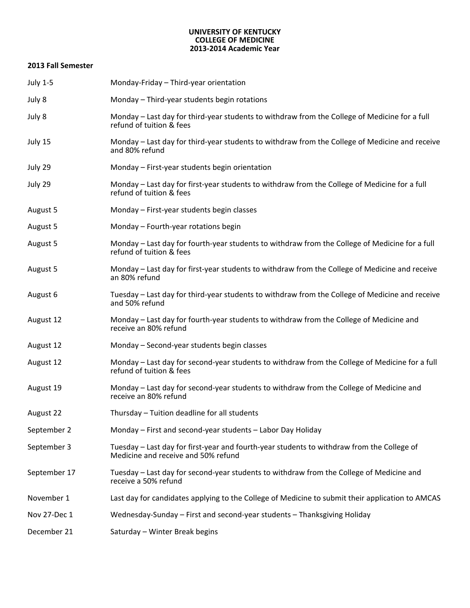#### **UNIVERSITY OF KENTUCKY COLLEGE OF MEDICINE 2013-2014 Academic Year**

#### **2013 Fall Semester**

| <b>July 1-5</b> | Monday-Friday - Third-year orientation                                                                                            |
|-----------------|-----------------------------------------------------------------------------------------------------------------------------------|
| July 8          | Monday - Third-year students begin rotations                                                                                      |
| July 8          | Monday – Last day for third-year students to withdraw from the College of Medicine for a full<br>refund of tuition & fees         |
| July 15         | Monday – Last day for third-year students to withdraw from the College of Medicine and receive<br>and 80% refund                  |
| July 29         | Monday - First-year students begin orientation                                                                                    |
| July 29         | Monday – Last day for first-year students to withdraw from the College of Medicine for a full<br>refund of tuition & fees         |
| August 5        | Monday - First-year students begin classes                                                                                        |
| August 5        | Monday - Fourth-year rotations begin                                                                                              |
| August 5        | Monday – Last day for fourth-year students to withdraw from the College of Medicine for a full<br>refund of tuition & fees        |
| August 5        | Monday – Last day for first-year students to withdraw from the College of Medicine and receive<br>an 80% refund                   |
| August 6        | Tuesday – Last day for third-year students to withdraw from the College of Medicine and receive<br>and 50% refund                 |
| August 12       | Monday – Last day for fourth-year students to withdraw from the College of Medicine and<br>receive an 80% refund                  |
| August 12       | Monday - Second-year students begin classes                                                                                       |
| August 12       | Monday – Last day for second-year students to withdraw from the College of Medicine for a full<br>refund of tuition & fees        |
| August 19       | Monday – Last day for second-year students to withdraw from the College of Medicine and<br>receive an 80% refund                  |
| August 22       | Thursday - Tuition deadline for all students                                                                                      |
| September 2     | Monday - First and second-year students - Labor Day Holiday                                                                       |
| September 3     | Tuesday - Last day for first-year and fourth-year students to withdraw from the College of<br>Medicine and receive and 50% refund |
| September 17    | Tuesday – Last day for second-year students to withdraw from the College of Medicine and<br>receive a 50% refund                  |
| November 1      | Last day for candidates applying to the College of Medicine to submit their application to AMCAS                                  |
| Nov 27-Dec 1    | Wednesday-Sunday – First and second-year students – Thanksgiving Holiday                                                          |
| December 21     | Saturday - Winter Break begins                                                                                                    |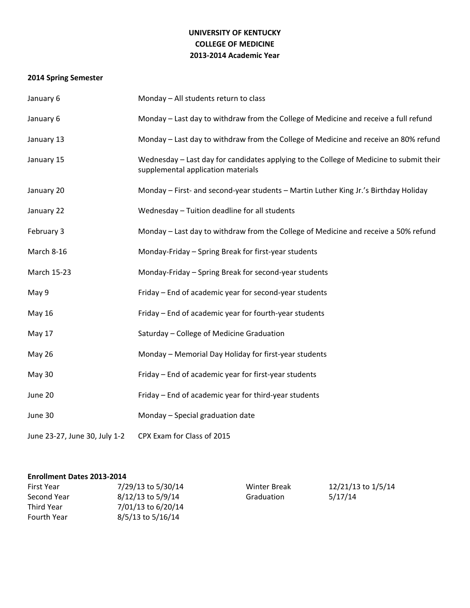## **UNIVERSITY OF KENTUCKY COLLEGE OF MEDICINE 2013-2014 Academic Year**

# **2014 Spring Semester**

| January 6                     | Monday - All students return to class                                                                                         |
|-------------------------------|-------------------------------------------------------------------------------------------------------------------------------|
| January 6                     | Monday - Last day to withdraw from the College of Medicine and receive a full refund                                          |
| January 13                    | Monday - Last day to withdraw from the College of Medicine and receive an 80% refund                                          |
| January 15                    | Wednesday - Last day for candidates applying to the College of Medicine to submit their<br>supplemental application materials |
| January 20                    | Monday - First- and second-year students - Martin Luther King Jr.'s Birthday Holiday                                          |
| January 22                    | Wednesday - Tuition deadline for all students                                                                                 |
| February 3                    | Monday – Last day to withdraw from the College of Medicine and receive a 50% refund                                           |
| March 8-16                    | Monday-Friday - Spring Break for first-year students                                                                          |
| March 15-23                   | Monday-Friday - Spring Break for second-year students                                                                         |
| May 9                         | Friday - End of academic year for second-year students                                                                        |
| May 16                        | Friday – End of academic year for fourth-year students                                                                        |
| May 17                        | Saturday - College of Medicine Graduation                                                                                     |
| <b>May 26</b>                 | Monday - Memorial Day Holiday for first-year students                                                                         |
| May 30                        | Friday - End of academic year for first-year students                                                                         |
| June 20                       | Friday - End of academic year for third-year students                                                                         |
| June 30                       | Monday - Special graduation date                                                                                              |
| June 23-27, June 30, July 1-2 | CPX Exam for Class of 2015                                                                                                    |

### **Enrollment Dates 2013-2014**

| First Year  | 7/29/13 to 5/30/14 | Winter Break | 12/21/13 to 1/5/14 |
|-------------|--------------------|--------------|--------------------|
| Second Year | 8/12/13 to 5/9/14  | Graduation   | 5/17/14            |
| Third Year  | 7/01/13 to 6/20/14 |              |                    |
| Fourth Year | 8/5/13 to 5/16/14  |              |                    |